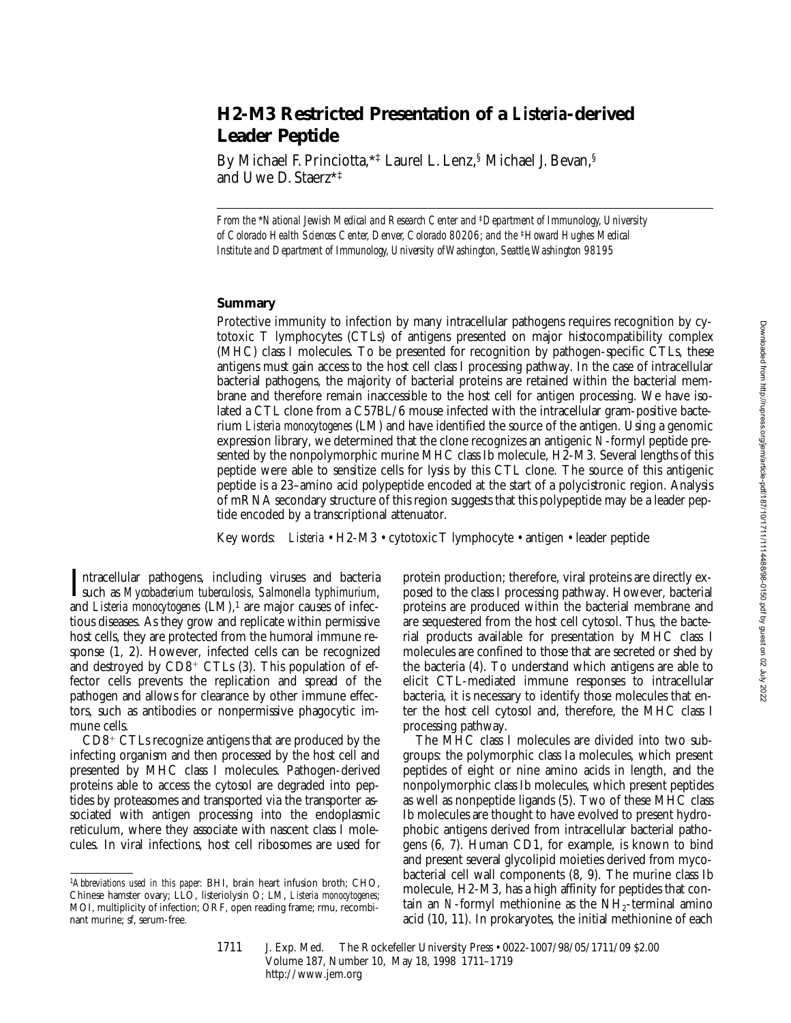# **H2-M3 Restricted Presentation of a** *Listeria***-derived Leader Peptide**

By Michael F. Princiotta,\*‡ Laurel L. Lenz,§ Michael J. Bevan,§ and Uwe D. Staerz\*‡

*From the* \**National Jewish Medical and Research Center and* ‡*Department of Immunology, University of Colorado Health Sciences Center, Denver, Colorado 80206; and the* ‡*Howard Hughes Medical Institute and Department of Immunology, University of Washington, Seattle, Washington 98195*

## **Summary**

Protective immunity to infection by many intracellular pathogens requires recognition by cytotoxic T lymphocytes (CTLs) of antigens presented on major histocompatibility complex (MHC) class I molecules. To be presented for recognition by pathogen-specific CTLs, these antigens must gain access to the host cell class I processing pathway. In the case of intracellular bacterial pathogens, the majority of bacterial proteins are retained within the bacterial membrane and therefore remain inaccessible to the host cell for antigen processing. We have isolated a CTL clone from a C57BL/6 mouse infected with the intracellular gram-positive bacterium *Listeria monocytogenes* (LM) and have identified the source of the antigen. Using a genomic expression library, we determined that the clone recognizes an antigenic *N*-formyl peptide presented by the nonpolymorphic murine MHC class Ib molecule, H2-M3. Several lengths of this peptide were able to sensitize cells for lysis by this CTL clone. The source of this antigenic peptide is a 23–amino acid polypeptide encoded at the start of a polycistronic region. Analysis of mRNA secondary structure of this region suggests that this polypeptide may be a leader peptide encoded by a transcriptional attenuator.

Key words: *Listeria* • H2-M3 • cytotoxic T lymphocyte • antigen • leader peptide

Intracellular pathogens, including viruses and bacteria<br>such as *Mycobacterium tuberculosis*, *Salmonella typhimurium*, Intracellular pathogens, including viruses and bacteria and *Listeria monocytogenes* (LM),<sup>1</sup> are major causes of infectious diseases. As they grow and replicate within permissive host cells, they are protected from the humoral immune response (1, 2). However, infected cells can be recognized and destroyed by  $CD8<sup>+</sup> CTLs$  (3). This population of effector cells prevents the replication and spread of the pathogen and allows for clearance by other immune effectors, such as antibodies or nonpermissive phagocytic immune cells.

CD8<sup>+</sup> CTLs recognize antigens that are produced by the infecting organism and then processed by the host cell and presented by MHC class I molecules. Pathogen-derived proteins able to access the cytosol are degraded into peptides by proteasomes and transported via the transporter associated with antigen processing into the endoplasmic reticulum, where they associate with nascent class I molecules. In viral infections, host cell ribosomes are used for

protein production; therefore, viral proteins are directly exposed to the class I processing pathway. However, bacterial proteins are produced within the bacterial membrane and are sequestered from the host cell cytosol. Thus, the bacterial products available for presentation by MHC class I molecules are confined to those that are secreted or shed by the bacteria (4). To understand which antigens are able to elicit CTL-mediated immune responses to intracellular bacteria, it is necessary to identify those molecules that enter the host cell cytosol and, therefore, the MHC class I processing pathway.

The MHC class I molecules are divided into two subgroups: the polymorphic class Ia molecules, which present peptides of eight or nine amino acids in length, and the nonpolymorphic class Ib molecules, which present peptides as well as nonpeptide ligands (5). Two of these MHC class Ib molecules are thought to have evolved to present hydrophobic antigens derived from intracellular bacterial pathogens (6, 7). Human CD1, for example, is known to bind and present several glycolipid moieties derived from mycobacterial cell wall components (8, 9). The murine class Ib molecule, H2-M3, has a high affinity for peptides that contain an *N*-formyl methionine as the  $NH<sub>2</sub>$ -terminal amino acid (10, 11). In prokaryotes, the initial methionine of each

1711 J. Exp. Med. The Rockefeller University Press • 0022-1007/98/05/1711/09 \$2.00 Volume 187, Number 10, May 18, 1998 1711–1719 http://www.jem.org

<sup>1</sup>*Abbreviations used in this paper:* BHI, brain heart infusion broth; CHO, Chinese hamster ovary; LLO, listeriolysin O; LM, *Listeria monocytogenes*; MOI, multiplicity of infection; ORF, open reading frame; rmu, recombinant murine; sf, serum-free*.*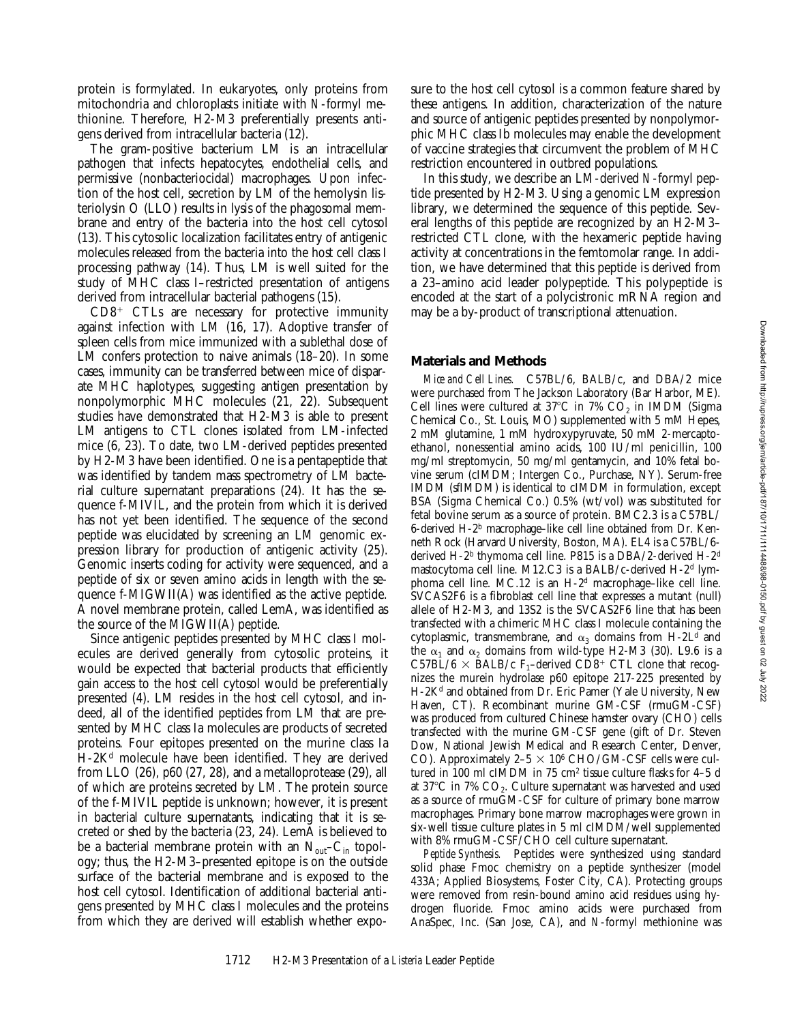protein is formylated. In eukaryotes, only proteins from mitochondria and chloroplasts initiate with *N*-formyl methionine. Therefore, H2-M3 preferentially presents antigens derived from intracellular bacteria (12).

The gram-positive bacterium LM is an intracellular pathogen that infects hepatocytes, endothelial cells, and permissive (nonbacteriocidal) macrophages. Upon infection of the host cell, secretion by LM of the hemolysin listeriolysin O (LLO) results in lysis of the phagosomal membrane and entry of the bacteria into the host cell cytosol (13). This cytosolic localization facilitates entry of antigenic molecules released from the bacteria into the host cell class I processing pathway (14). Thus, LM is well suited for the study of MHC class I–restricted presentation of antigens derived from intracellular bacterial pathogens (15).

 $CD8<sup>+</sup>$  CTLs are necessary for protective immunity against infection with LM (16, 17). Adoptive transfer of spleen cells from mice immunized with a sublethal dose of LM confers protection to naive animals (18–20). In some cases, immunity can be transferred between mice of disparate MHC haplotypes, suggesting antigen presentation by nonpolymorphic MHC molecules (21, 22). Subsequent studies have demonstrated that H2-M3 is able to present LM antigens to CTL clones isolated from LM-infected mice (6, 23). To date, two LM-derived peptides presented by H2-M3 have been identified. One is a pentapeptide that was identified by tandem mass spectrometry of LM bacterial culture supernatant preparations (24). It has the sequence f-MIVIL, and the protein from which it is derived has not yet been identified. The sequence of the second peptide was elucidated by screening an LM genomic expression library for production of antigenic activity (25). Genomic inserts coding for activity were sequenced, and a peptide of six or seven amino acids in length with the sequence f-MIGWII(A) was identified as the active peptide. A novel membrane protein, called LemA, was identified as the source of the MIGWII(A) peptide.

Since antigenic peptides presented by MHC class I molecules are derived generally from cytosolic proteins, it would be expected that bacterial products that efficiently gain access to the host cell cytosol would be preferentially presented (4). LM resides in the host cell cytosol, and indeed, all of the identified peptides from LM that are presented by MHC class Ia molecules are products of secreted proteins. Four epitopes presented on the murine class Ia H-2Kd molecule have been identified. They are derived from LLO (26), p60 (27, 28), and a metalloprotease (29), all of which are proteins secreted by LM. The protein source of the f-MIVIL peptide is unknown; however, it is present in bacterial culture supernatants, indicating that it is secreted or shed by the bacteria (23, 24). LemA is believed to be a bacterial membrane protein with an  $N_{\text{out}}-C_{\text{in}}$  topology; thus, the H2-M3–presented epitope is on the outside surface of the bacterial membrane and is exposed to the host cell cytosol. Identification of additional bacterial antigens presented by MHC class I molecules and the proteins from which they are derived will establish whether exposure to the host cell cytosol is a common feature shared by these antigens. In addition, characterization of the nature and source of antigenic peptides presented by nonpolymorphic MHC class Ib molecules may enable the development of vaccine strategies that circumvent the problem of MHC restriction encountered in outbred populations.

In this study, we describe an LM-derived *N*-formyl peptide presented by H2-M3. Using a genomic LM expression library, we determined the sequence of this peptide. Several lengths of this peptide are recognized by an H2-M3– restricted CTL clone, with the hexameric peptide having activity at concentrations in the femtomolar range. In addition, we have determined that this peptide is derived from a 23–amino acid leader polypeptide. This polypeptide is encoded at the start of a polycistronic mRNA region and may be a by-product of transcriptional attenuation.

### **Materials and Methods**

*Mice and Cell Lines.* C57BL/6, BALB/c, and DBA/2 mice were purchased from The Jackson Laboratory (Bar Harbor, ME). Cell lines were cultured at 37°C in 7%  $CO<sub>2</sub>$  in IMDM (Sigma Chemical Co., St. Louis, MO) supplemented with 5 mM Hepes, 2 mM glutamine, 1 mM hydroxypyruvate, 50 mM 2-mercaptoethanol, nonessential amino acids, 100 IU/ml penicillin, 100 mg/ml streptomycin, 50 mg/ml gentamycin, and 10% fetal bovine serum (cIMDM; Intergen Co., Purchase, NY). Serum-free IMDM (sfIMDM) is identical to cIMDM in formulation, except BSA (Sigma Chemical Co.) 0.5% (wt/vol) was substituted for fetal bovine serum as a source of protein. BMC2.3 is a C57BL/ 6-derived H-2b macrophage–like cell line obtained from Dr. Kenneth Rock (Harvard University, Boston, MA). EL4 is a C57BL/6 derived H-2<sup>b</sup> thymoma cell line. P815 is a DBA/2-derived H-2<sup>d</sup> mastocytoma cell line. M12.C3 is a BALB/c-derived H-2d lymphoma cell line. MC.12 is an H-2d macrophage–like cell line. SVCAS2F6 is a fibroblast cell line that expresses a mutant (null) allele of H2-M3, and 13S2 is the SVCAS2F6 line that has been transfected with a chimeric MHC class I molecule containing the cytoplasmic, transmembrane, and  $\alpha_3$  domains from H-2L<sup>d</sup> and the  $\alpha_1$  and  $\alpha_2$  domains from wild-type H2-M3 (30). L9.6 is a C57BL/6  $\times$  BALB/c F<sub>1</sub>–derived CD8<sup>+</sup> CTL clone that recognizes the murein hydrolase p60 epitope 217-225 presented by H-2K<sup>d</sup> and obtained from Dr. Eric Pamer (Yale University, New Haven, CT). Recombinant murine GM-CSF (rmuGM-CSF) was produced from cultured Chinese hamster ovary (CHO) cells transfected with the murine GM-CSF gene (gift of Dr. Steven Dow, National Jewish Medical and Research Center, Denver, CO). Approximately  $2-5 \times 10^6$  CHO/GM-CSF cells were cultured in 100 ml cIMDM in 75 cm<sup>2</sup> tissue culture flasks for 4–5 d at 37 $^{\circ}$ C in 7% CO<sub>2</sub>. Culture supernatant was harvested and used as a source of rmuGM-CSF for culture of primary bone marrow macrophages. Primary bone marrow macrophages were grown in six-well tissue culture plates in 5 ml cIMDM/well supplemented with 8% rmuGM-CSF/CHO cell culture supernatant.

*Peptide Synthesis.* Peptides were synthesized using standard solid phase Fmoc chemistry on a peptide synthesizer (model 433A; Applied Biosystems, Foster City, CA). Protecting groups were removed from resin-bound amino acid residues using hydrogen fluoride. Fmoc amino acids were purchased from AnaSpec, Inc. (San Jose, CA), and *N*-formyl methionine was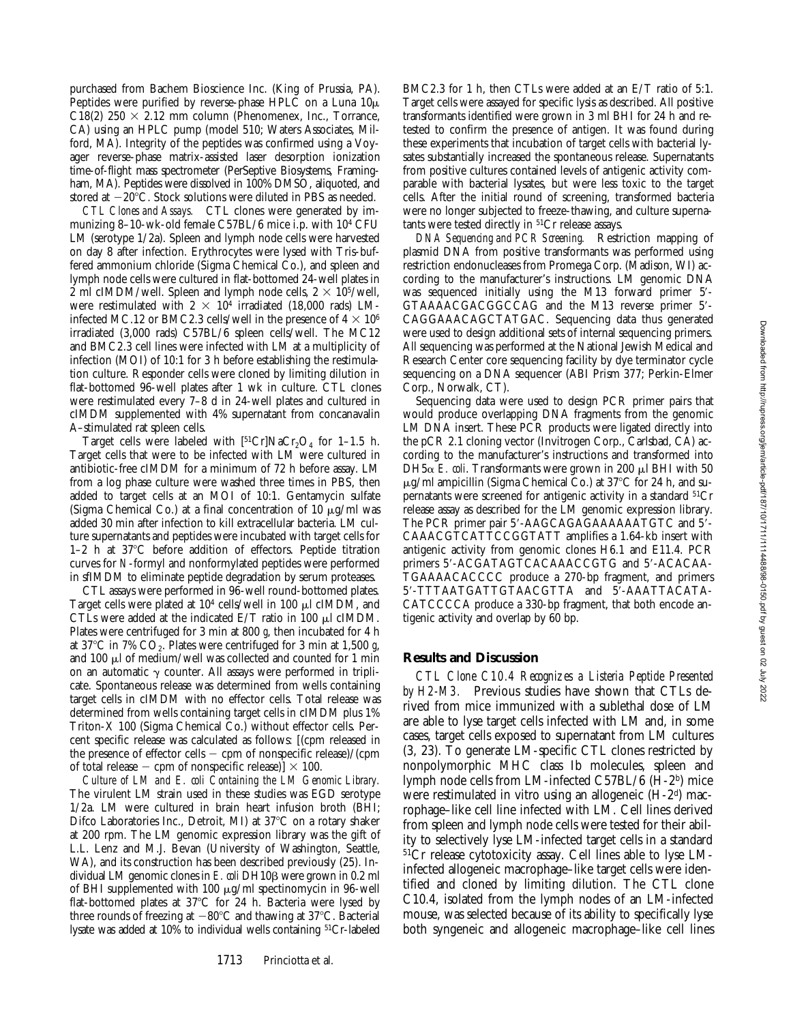purchased from Bachem Bioscience Inc. (King of Prussia, PA). Peptides were purified by reverse-phase HPLC on a Luna  $10\mu$ C18(2)  $250 \times 2.12$  mm column (Phenomenex, Inc., Torrance, CA) using an HPLC pump (model 510; Waters Associates, Milford, MA). Integrity of the peptides was confirmed using a Voyager reverse-phase matrix-assisted laser desorption ionization time-of-flight mass spectrometer (PerSeptive Biosystems, Framingham, MA). Peptides were dissolved in 100% DMSO, aliquoted, and stored at  $-20^{\circ}$ C. Stock solutions were diluted in PBS as needed.

*CTL Clones and Assays.* CTL clones were generated by immunizing 8–10-wk-old female C57BL/6 mice i.p. with 104 CFU LM (serotype 1/2a). Spleen and lymph node cells were harvested on day 8 after infection. Erythrocytes were lysed with Tris-buffered ammonium chloride (Sigma Chemical Co.), and spleen and lymph node cells were cultured in flat-bottomed 24-well plates in 2 ml cIMDM/well. Spleen and lymph node cells,  $2 \times 10^{5}$ /well, were restimulated with  $2 \times 10^4$  irradiated (18,000 rads) LMinfected MC.12 or BMC2.3 cells/well in the presence of  $4 \times 10^6$ irradiated (3,000 rads) C57BL/6 spleen cells/well. The MC12 and BMC2.3 cell lines were infected with LM at a multiplicity of infection (MOI) of 10:1 for 3 h before establishing the restimulation culture. Responder cells were cloned by limiting dilution in flat-bottomed 96-well plates after 1 wk in culture. CTL clones were restimulated every 7–8 d in 24-well plates and cultured in cIMDM supplemented with 4% supernatant from concanavalin A–stimulated rat spleen cells.

Target cells were labeled with  $[51Cr]NaCr_2O_4$  for 1-1.5 h. Target cells that were to be infected with LM were cultured in antibiotic-free cIMDM for a minimum of 72 h before assay. LM from a log phase culture were washed three times in PBS, then added to target cells at an MOI of 10:1. Gentamycin sulfate (Sigma Chemical Co.) at a final concentration of 10  $\mu$ g/ml was added 30 min after infection to kill extracellular bacteria. LM culture supernatants and peptides were incubated with target cells for 1–2 h at  $37^{\circ}$ C before addition of effectors. Peptide titration curves for *N*-formyl and nonformylated peptides were performed in sfIMDM to eliminate peptide degradation by serum proteases.

CTL assays were performed in 96-well round-bottomed plates. Target cells were plated at  $10<sup>4</sup>$  cells/well in 100  $\mu$ l cIMDM, and CTLs were added at the indicated E/T ratio in 100  $\mu$ l cIMDM. Plates were centrifuged for 3 min at 800 *g*, then incubated for 4 h at  $37^{\circ}$ C in 7% CO<sub>2</sub>. Plates were centrifuged for 3 min at 1,500 g, and 100  $\mu$ l of medium/well was collected and counted for 1 min on an automatic  $\gamma$  counter. All assays were performed in triplicate. Spontaneous release was determined from wells containing target cells in cIMDM with no effector cells. Total release was determined from wells containing target cells in cIMDM plus 1% Triton-X 100 (Sigma Chemical Co.) without effector cells. Percent specific release was calculated as follows: [(cpm released in the presence of effector cells  $-$  cpm of nonspecific release)/(cpm of total release – cpm of nonspecific release)]  $\times$  100.

*Culture of LM and E. coli Containing the LM Genomic Library.* The virulent LM strain used in these studies was EGD serotype 1/2a. LM were cultured in brain heart infusion broth (BHI; Difco Laboratories Inc., Detroit, MI) at 37°C on a rotary shaker at 200 rpm. The LM genomic expression library was the gift of L.L. Lenz and M.J. Bevan (University of Washington, Seattle, WA), and its construction has been described previously (25). Individual LM genomic clones in *E. coli* DH10<sub>B</sub> were grown in 0.2 ml of BHI supplemented with 100  $\mu$ g/ml spectinomycin in 96-well flat-bottomed plates at  $37^{\circ}$ C for 24 h. Bacteria were lysed by three rounds of freezing at  $-80^{\circ}$ C and thawing at 37 $^{\circ}$ C. Bacterial lysate was added at 10% to individual wells containing 51Cr-labeled

BMC2.3 for 1 h, then CTLs were added at an E/T ratio of 5:1. Target cells were assayed for specific lysis as described. All positive transformants identified were grown in 3 ml BHI for 24 h and retested to confirm the presence of antigen. It was found during these experiments that incubation of target cells with bacterial lysates substantially increased the spontaneous release. Supernatants from positive cultures contained levels of antigenic activity comparable with bacterial lysates, but were less toxic to the target cells. After the initial round of screening, transformed bacteria were no longer subjected to freeze-thawing, and culture supernatants were tested directly in  ${}^{51}Cr$  release assays.

*DNA Sequencing and PCR Screening.* Restriction mapping of plasmid DNA from positive transformants was performed using restriction endonucleases from Promega Corp. (Madison, WI) according to the manufacturer's instructions. LM genomic DNA was sequenced initially using the M13 forward primer 5'-GTAAAACGACGGCCAG and the M13 reverse primer 5'-CAGGAAACAGCTATGAC. Sequencing data thus generated were used to design additional sets of internal sequencing primers. All sequencing was performed at the National Jewish Medical and Research Center core sequencing facility by dye terminator cycle sequencing on a DNA sequencer (ABI Prism 377; Perkin-Elmer Corp., Norwalk, CT).

Sequencing data were used to design PCR primer pairs that would produce overlapping DNA fragments from the genomic LM DNA insert. These PCR products were ligated directly into the pCR 2.1 cloning vector (Invitrogen Corp., Carlsbad, CA) according to the manufacturer's instructions and transformed into DH5 $\alpha$  *E. coli*. Transformants were grown in 200  $\mu$ l BHI with 50  $\mu$ g/ml ampicillin (Sigma Chemical Co.) at 37°C for 24 h, and supernatants were screened for antigenic activity in a standard <sup>51</sup>Cr release assay as described for the LM genomic expression library. The PCR primer pair 5'-AAGCAGAGAAAAAATGTC and 5'-CAAACGTCATTCCGGTATT amplifies a 1.64-kb insert with antigenic activity from genomic clones H6.1 and E11.4. PCR primers 5'-ACGATAGTCACAAACCGTG and 5'-ACACAA-TGAAAACACCCC produce a 270-bp fragment, and primers 5'-TTTAATGATTGTAACGTTA and 5'-AAATTACATA-CATCCCCA produce a 330-bp fragment, that both encode antigenic activity and overlap by 60 bp.

#### **Results and Discussion**

*CTL Clone C10.4 Recognizes a Listeria Peptide Presented by H2-M3.* Previous studies have shown that CTLs derived from mice immunized with a sublethal dose of LM are able to lyse target cells infected with LM and, in some cases, target cells exposed to supernatant from LM cultures (3, 23). To generate LM-specific CTL clones restricted by nonpolymorphic MHC class Ib molecules, spleen and lymph node cells from LM-infected C57BL/6 (H-2b) mice were restimulated in vitro using an allogeneic (H-2<sup>d</sup>) macrophage–like cell line infected with LM. Cell lines derived from spleen and lymph node cells were tested for their ability to selectively lyse LM-infected target cells in a standard 51Cr release cytotoxicity assay. Cell lines able to lyse LMinfected allogeneic macrophage–like target cells were identified and cloned by limiting dilution. The CTL clone C10.4, isolated from the lymph nodes of an LM-infected mouse, was selected because of its ability to specifically lyse both syngeneic and allogeneic macrophage–like cell lines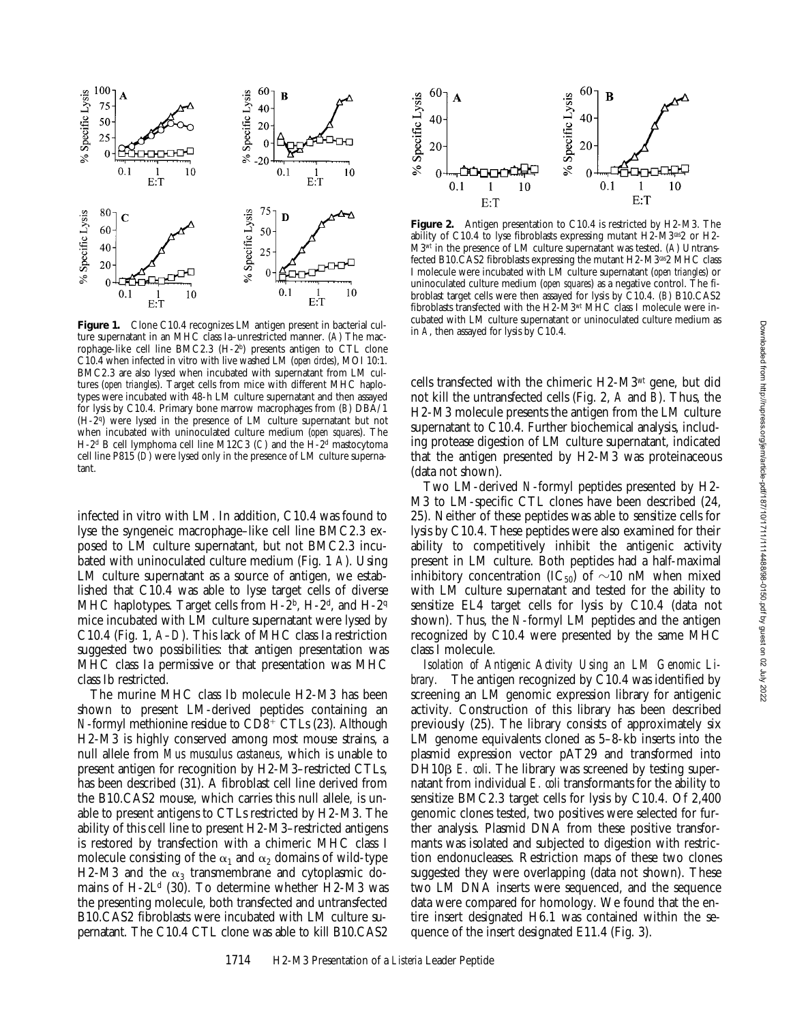

Figure 1. Clone C10.4 recognizes LM antigen present in bacterial culture supernatant in an MHC class Ia–unrestricted manner. (*A*) The macrophage-like cell line BMC2.3 (H-2b) presents antigen to CTL clone C10.4 when infected in vitro with live washed LM (*open circles*), MOI 10:1. BMC2.3 are also lysed when incubated with supernatant from LM cultures (*open triangles*). Target cells from mice with different MHC haplotypes were incubated with 48-h LM culture supernatant and then assayed for lysis by C10.4. Primary bone marrow macrophages from (*B*) DBA/1 (H-2q) were lysed in the presence of LM culture supernatant but not when incubated with uninoculated culture medium (*open squares*). The H-2d B cell lymphoma cell line M12C3 (*C*) and the H-2d mastocytoma cell line P815 (*D*) were lysed only in the presence of LM culture supernatant.

infected in vitro with LM. In addition, C10.4 was found to lyse the syngeneic macrophage–like cell line BMC2.3 exposed to LM culture supernatant, but not BMC2.3 incubated with uninoculated culture medium (Fig. 1 *A*). Using LM culture supernatant as a source of antigen, we established that C10.4 was able to lyse target cells of diverse MHC haplotypes. Target cells from  $H-2<sup>b</sup>$ ,  $H-2<sup>d</sup>$ , and  $H-2<sup>q</sup>$ mice incubated with LM culture supernatant were lysed by C10.4 (Fig. 1, *A–D*). This lack of MHC class Ia restriction suggested two possibilities: that antigen presentation was MHC class Ia permissive or that presentation was MHC class Ib restricted.

The murine MHC class Ib molecule H2-M3 has been shown to present LM-derived peptides containing an *N*-formyl methionine residue to  $CD8^+$  CTLs (23). Although H2-M3 is highly conserved among most mouse strains, a null allele from *Mus musculus castaneus*, which is unable to present antigen for recognition by H2-M3–restricted CTLs, has been described (31). A fibroblast cell line derived from the B10.CAS2 mouse, which carries this null allele, is unable to present antigens to CTLs restricted by H2-M3. The ability of this cell line to present H2-M3–restricted antigens is restored by transfection with a chimeric MHC class I molecule consisting of the  $\alpha_1$  and  $\alpha_2$  domains of wild-type H2-M3 and the  $\alpha_3$  transmembrane and cytoplasmic domains of  $H-2L<sup>d</sup>$  (30). To determine whether  $H2-M3$  was the presenting molecule, both transfected and untransfected B10.CAS2 fibroblasts were incubated with LM culture supernatant. The C10.4 CTL clone was able to kill B10.CAS2



**Figure 2.** Antigen presentation to C10.4 is restricted by H2-M3. The ability of C10.4 to lyse fibroblasts expressing mutant H2-M3*cas*2 or H2- M3*wt* in the presence of LM culture supernatant was tested. (*A*) Untransfected B10.CAS2 fibroblasts expressing the mutant H2-M3*cas*2 MHC class I molecule were incubated with LM culture supernatant (*open triangles*) or uninoculated culture medium (*open squares*) as a negative control. The fibroblast target cells were then assayed for lysis by C10.4. (*B*) B10.CAS2 fibroblasts transfected with the H2-M3*wt* MHC class I molecule were incubated with LM culture supernatant or uninoculated culture medium as in *A*, then assayed for lysis by C10.4.

cells transfected with the chimeric H2-M3*wt* gene, but did not kill the untransfected cells (Fig. 2, *A* and *B*). Thus, the H2-M3 molecule presents the antigen from the LM culture supernatant to C10.4. Further biochemical analysis, including protease digestion of LM culture supernatant, indicated that the antigen presented by H2-M3 was proteinaceous (data not shown).

Two LM-derived *N*-formyl peptides presented by H2- M3 to LM-specific CTL clones have been described (24, 25). Neither of these peptides was able to sensitize cells for lysis by C10.4. These peptides were also examined for their ability to competitively inhibit the antigenic activity present in LM culture. Both peptides had a half-maximal inhibitory concentration (IC<sub>50</sub>) of  $\sim$ 10 nM when mixed with LM culture supernatant and tested for the ability to sensitize EL4 target cells for lysis by C10.4 (data not shown). Thus, the *N*-formyl LM peptides and the antigen recognized by C10.4 were presented by the same MHC class I molecule.

*Isolation of Antigenic Activity Using an LM Genomic Library.* The antigen recognized by C10.4 was identified by screening an LM genomic expression library for antigenic activity. Construction of this library has been described previously (25). The library consists of approximately six LM genome equivalents cloned as 5–8-kb inserts into the plasmid expression vector pAT29 and transformed into DH10<sub>B</sub> *E. coli*. The library was screened by testing supernatant from individual *E. coli* transformants for the ability to sensitize BMC2.3 target cells for lysis by C10.4. Of 2,400 genomic clones tested, two positives were selected for further analysis. Plasmid DNA from these positive transformants was isolated and subjected to digestion with restriction endonucleases. Restriction maps of these two clones suggested they were overlapping (data not shown). These two LM DNA inserts were sequenced, and the sequence data were compared for homology. We found that the entire insert designated H6.1 was contained within the sequence of the insert designated E11.4 (Fig. 3).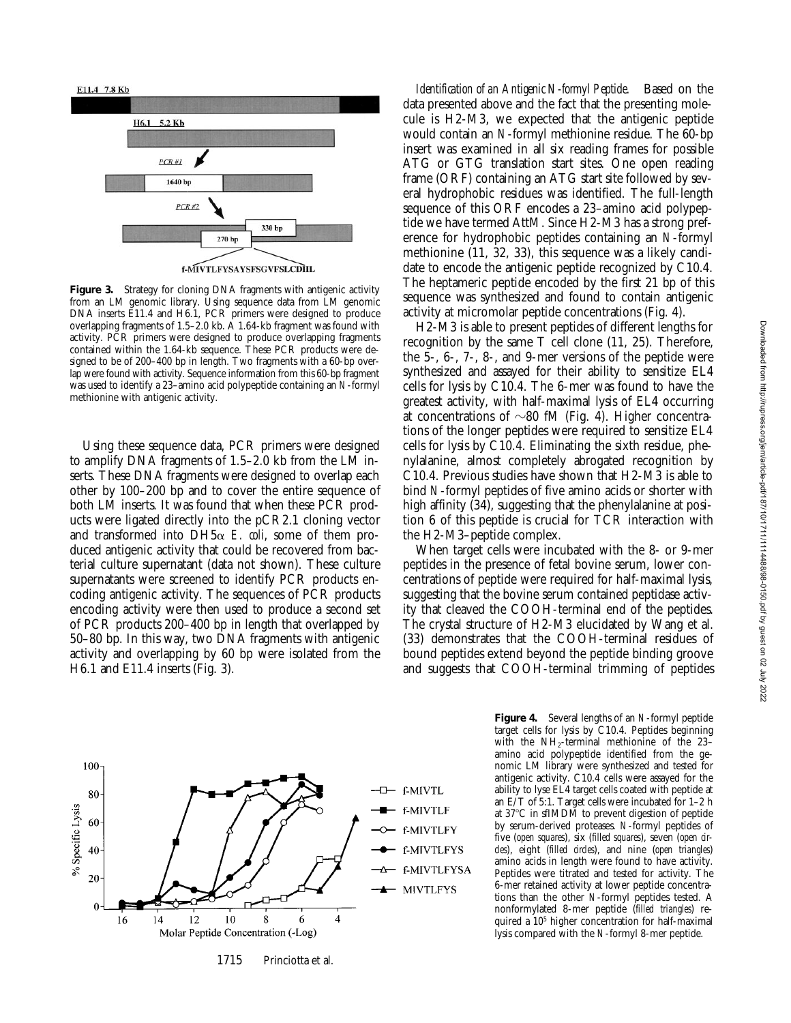

f-MIVTLFYSAYSFSGVFSLCDIIL

Figure 3. Strategy for cloning DNA fragments with antigenic activity from an LM genomic library. Using sequence data from LM genomic DNA inserts E11.4 and H6.1, PCR primers were designed to produce overlapping fragments of 1.5–2.0 kb. A 1.64-kb fragment was found with activity. PCR primers were designed to produce overlapping fragments contained within the 1.64-kb sequence. These PCR products were designed to be of 200–400 bp in length. Two fragments with a 60-bp overlap were found with activity. Sequence information from this 60-bp fragment was used to identify a 23–amino acid polypeptide containing an *N*-formyl methionine with antigenic activity.

Using these sequence data, PCR primers were designed to amplify DNA fragments of 1.5–2.0 kb from the LM inserts. These DNA fragments were designed to overlap each other by 100–200 bp and to cover the entire sequence of both LM inserts. It was found that when these PCR products were ligated directly into the pCR2.1 cloning vector and transformed into  $DH5\alpha$  *E. coli*, some of them produced antigenic activity that could be recovered from bacterial culture supernatant (data not shown). These culture supernatants were screened to identify PCR products encoding antigenic activity. The sequences of PCR products encoding activity were then used to produce a second set of PCR products 200–400 bp in length that overlapped by 50–80 bp. In this way, two DNA fragments with antigenic activity and overlapping by 60 bp were isolated from the H6.1 and E11.4 inserts (Fig. 3).

*Identification of an Antigenic N-formyl Peptide.* Based on the data presented above and the fact that the presenting molecule is H2-M3, we expected that the antigenic peptide would contain an *N*-formyl methionine residue. The 60-bp insert was examined in all six reading frames for possible ATG or GTG translation start sites. One open reading frame (ORF) containing an ATG start site followed by several hydrophobic residues was identified. The full-length sequence of this ORF encodes a 23–amino acid polypeptide we have termed AttM. Since H2-M3 has a strong preference for hydrophobic peptides containing an *N*-formyl methionine (11, 32, 33), this sequence was a likely candidate to encode the antigenic peptide recognized by C10.4. The heptameric peptide encoded by the first 21 bp of this sequence was synthesized and found to contain antigenic activity at micromolar peptide concentrations (Fig. 4).

H2-M3 is able to present peptides of different lengths for recognition by the same T cell clone (11, 25). Therefore, the 5-, 6-, 7-, 8-, and 9-mer versions of the peptide were synthesized and assayed for their ability to sensitize EL4 cells for lysis by C10.4. The 6-mer was found to have the greatest activity, with half-maximal lysis of EL4 occurring at concentrations of  $\sim 80$  fM (Fig. 4). Higher concentrations of the longer peptides were required to sensitize EL4 cells for lysis by C10.4. Eliminating the sixth residue, phenylalanine, almost completely abrogated recognition by C10.4. Previous studies have shown that H2-M3 is able to bind *N*-formyl peptides of five amino acids or shorter with high affinity (34), suggesting that the phenylalanine at position 6 of this peptide is crucial for TCR interaction with the H2-M3–peptide complex.

When target cells were incubated with the 8- or 9-mer peptides in the presence of fetal bovine serum, lower concentrations of peptide were required for half-maximal lysis, suggesting that the bovine serum contained peptidase activity that cleaved the COOH-terminal end of the peptides. The crystal structure of H2-M3 elucidated by Wang et al. (33) demonstrates that the COOH-terminal residues of bound peptides extend beyond the peptide binding groove and suggests that COOH-terminal trimming of peptides



1715 Princiotta et al.

**Figure 4.** Several lengths of an *N*-formyl peptide target cells for lysis by C10.4. Peptides beginning with the  $NH<sub>2</sub>$ -terminal methionine of the 23– amino acid polypeptide identified from the genomic LM library were synthesized and tested for antigenic activity. C10.4 cells were assayed for the ability to lyse EL4 target cells coated with peptide at an E/T of 5:1. Target cells were incubated for 1–2 h at 37°C in sfIMDM to prevent digestion of peptide by serum-derived proteases. *N*-formyl peptides of five (*open squares*), six (*filled squares*), seven (*open circles*), eight (*filled circles*), and nine (*open triangles*) amino acids in length were found to have activity. Peptides were titrated and tested for activity. The 6-mer retained activity at lower peptide concentrations than the other *N*-formyl peptides tested. A nonformylated 8-mer peptide (*filled triangles*) required a 105 higher concentration for half-maximal lysis compared with the *N*-formyl 8-mer peptide.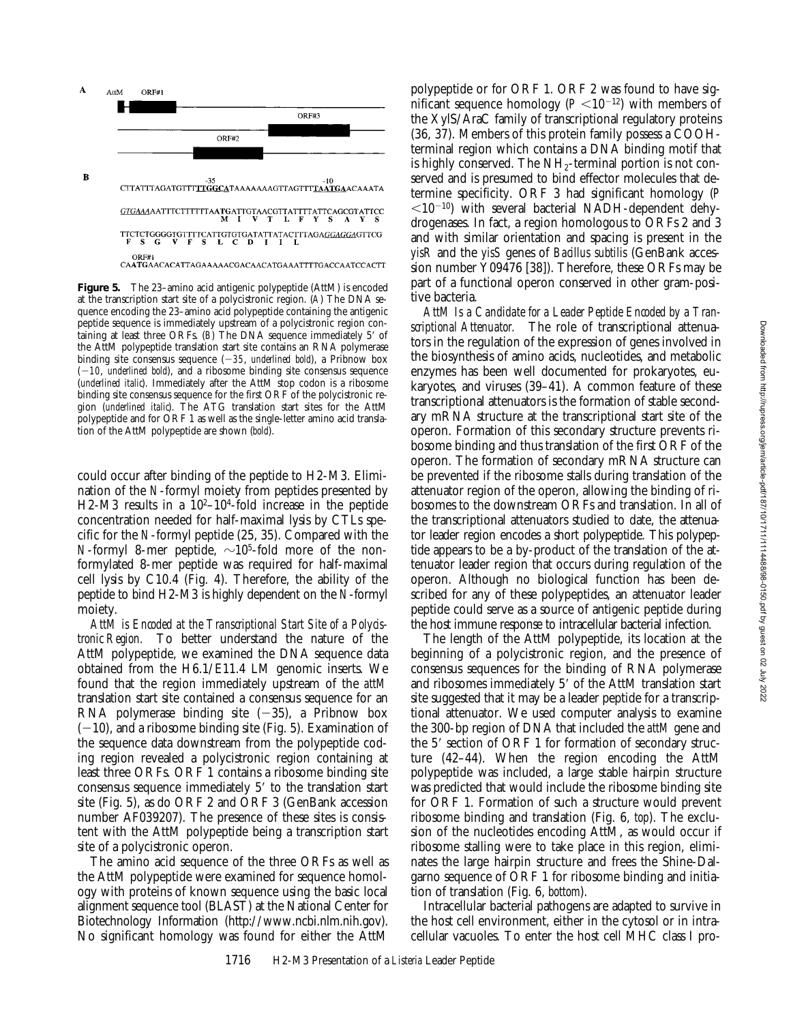

**Figure 5.** The 23–amino acid antigenic polypeptide (AttM) is encoded at the transcription start site of a polycistronic region. (*A*) The DNA sequence encoding the 23–amino acid polypeptide containing the antigenic peptide sequence is immediately upstream of a polycistronic region containing at least three ORFs. (*B*) The DNA sequence immediately 5' of the AttM polypeptide translation start site contains an RNA polymerase binding site consensus sequence  $(-35,$  *underlined bold*), a Pribnow box  $(-10,$  *underlined bold*), and a ribosome binding site consensus sequence (*underlined italic*). Immediately after the AttM stop codon is a ribosome binding site consensus sequence for the first ORF of the polycistronic region (*underlined italic*). The ATG translation start sites for the AttM polypeptide and for ORF 1 as well as the single-letter amino acid translation of the AttM polypeptide are shown (*bold*).

could occur after binding of the peptide to H2-M3. Elimination of the *N*-formyl moiety from peptides presented by H2-M3 results in a  $10^{2}-10^{4}$ -fold increase in the peptide concentration needed for half-maximal lysis by CTLs specific for the *N*-formyl peptide (25, 35). Compared with the *N*-formyl 8-mer peptide,  $\sim$ 10<sup>5</sup>-fold more of the nonformylated 8-mer peptide was required for half-maximal cell lysis by C10.4 (Fig. 4). Therefore, the ability of the peptide to bind H2-M3 is highly dependent on the *N*-formyl moiety.

*AttM is Encoded at the Transcriptional Start Site of a Polycistronic Region.* To better understand the nature of the AttM polypeptide, we examined the DNA sequence data obtained from the H6.1/E11.4 LM genomic inserts. We found that the region immediately upstream of the *attM* translation start site contained a consensus sequence for an RNA polymerase binding site  $(-35)$ , a Pribnow box  $(-10)$ , and a ribosome binding site (Fig. 5). Examination of the sequence data downstream from the polypeptide coding region revealed a polycistronic region containing at least three ORFs. ORF 1 contains a ribosome binding site consensus sequence immediately  $5'$  to the translation start site (Fig. 5), as do ORF 2 and ORF 3 (GenBank accession number AF039207). The presence of these sites is consistent with the AttM polypeptide being a transcription start site of a polycistronic operon.

The amino acid sequence of the three ORFs as well as the AttM polypeptide were examined for sequence homology with proteins of known sequence using the basic local alignment sequence tool (BLAST) at the National Center for Biotechnology Information (http://www.ncbi.nlm.nih.gov). No significant homology was found for either the AttM

polypeptide or for ORF 1. ORF 2 was found to have significant sequence homology  $(P \leq 10^{-12})$  with members of the XylS/AraC family of transcriptional regulatory proteins (36, 37). Members of this protein family possess a COOHterminal region which contains a DNA binding motif that is highly conserved. The  $NH<sub>2</sub>$ -terminal portion is not conserved and is presumed to bind effector molecules that determine specificity. ORF 3 had significant homology (*P*  $\langle 10^{-10} \rangle$  with several bacterial NADH-dependent dehydrogenases. In fact, a region homologous to ORFs 2 and 3 and with similar orientation and spacing is present in the *yisR* and the *yisS* genes of *Bacillus subtilis* (GenBank accession number Y09476 [38]). Therefore, these ORFs may be part of a functional operon conserved in other gram-positive bacteria.

*AttM Is a Candidate for a Leader Peptide Encoded by a Transcriptional Attenuator.* The role of transcriptional attenuators in the regulation of the expression of genes involved in the biosynthesis of amino acids, nucleotides, and metabolic enzymes has been well documented for prokaryotes, eukaryotes, and viruses (39–41). A common feature of these transcriptional attenuators is the formation of stable secondary mRNA structure at the transcriptional start site of the operon. Formation of this secondary structure prevents ribosome binding and thus translation of the first ORF of the operon. The formation of secondary mRNA structure can be prevented if the ribosome stalls during translation of the attenuator region of the operon, allowing the binding of ribosomes to the downstream ORFs and translation. In all of the transcriptional attenuators studied to date, the attenuator leader region encodes a short polypeptide. This polypeptide appears to be a by-product of the translation of the attenuator leader region that occurs during regulation of the operon. Although no biological function has been described for any of these polypeptides, an attenuator leader peptide could serve as a source of antigenic peptide during the host immune response to intracellular bacterial infection.

The length of the AttM polypeptide, its location at the beginning of a polycistronic region, and the presence of consensus sequences for the binding of RNA polymerase and ribosomes immediately 5' of the AttM translation start site suggested that it may be a leader peptide for a transcriptional attenuator. We used computer analysis to examine the 300-bp region of DNA that included the *attM* gene and the  $5'$  section of ORF 1 for formation of secondary structure (42–44). When the region encoding the AttM polypeptide was included, a large stable hairpin structure was predicted that would include the ribosome binding site for ORF 1. Formation of such a structure would prevent ribosome binding and translation (Fig. 6, *top*). The exclusion of the nucleotides encoding AttM, as would occur if ribosome stalling were to take place in this region, eliminates the large hairpin structure and frees the Shine-Dalgarno sequence of ORF 1 for ribosome binding and initiation of translation (Fig. 6, *bottom*).

Intracellular bacterial pathogens are adapted to survive in the host cell environment, either in the cytosol or in intracellular vacuoles. To enter the host cell MHC class I pro-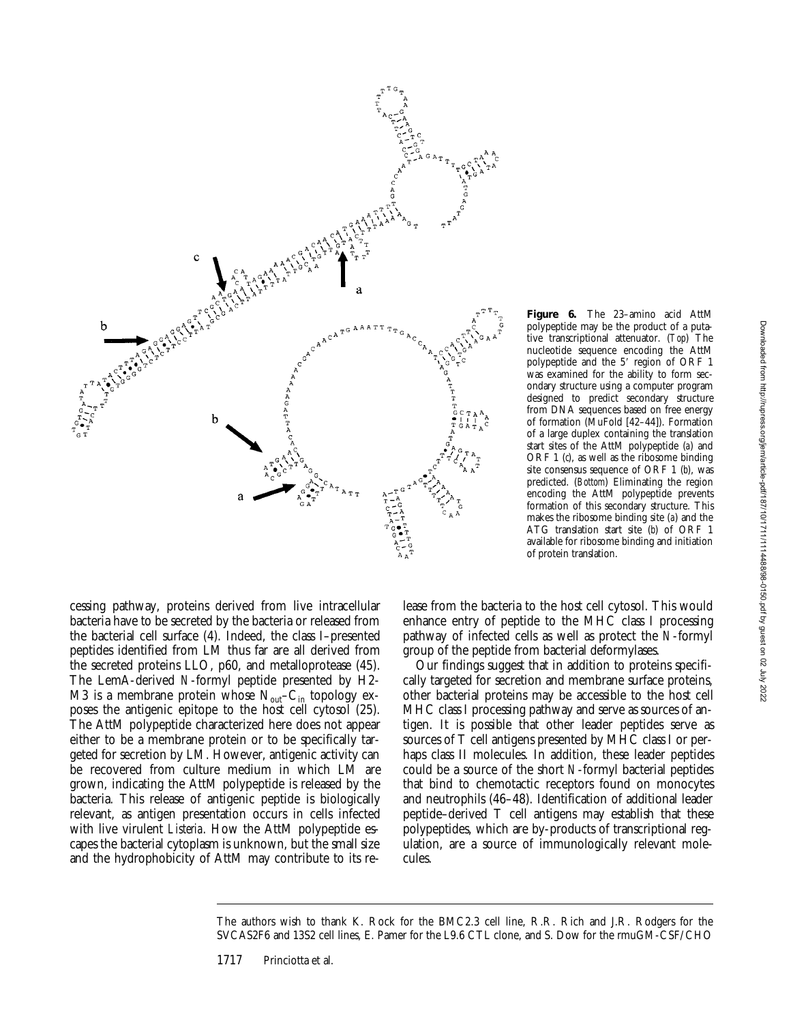

cessing pathway, proteins derived from live intracellular bacteria have to be secreted by the bacteria or released from the bacterial cell surface (4). Indeed, the class I–presented peptides identified from LM thus far are all derived from the secreted proteins LLO, p60, and metalloprotease (45). The LemA-derived *N*-formyl peptide presented by H2- M3 is a membrane protein whose  $N_{out}-C_{in}$  topology exposes the antigenic epitope to the host cell cytosol (25). The AttM polypeptide characterized here does not appear either to be a membrane protein or to be specifically targeted for secretion by LM. However, antigenic activity can be recovered from culture medium in which LM are grown, indicating the AttM polypeptide is released by the bacteria. This release of antigenic peptide is biologically relevant, as antigen presentation occurs in cells infected with live virulent *Listeria*. How the AttM polypeptide escapes the bacterial cytoplasm is unknown, but the small size and the hydrophobicity of AttM may contribute to its re-

**Figure 6.** The 23–amino acid AttM polypeptide may be the product of a putative transcriptional attenuator. (*Top*) The nucleotide sequence encoding the AttM polypeptide and the 5' region of ORF 1 was examined for the ability to form secondary structure using a computer program designed to predict secondary structure from DNA sequences based on free energy of formation (MuFold [42–44]). Formation of a large duplex containing the translation start sites of the AttM polypeptide (*a*) and ORF 1 (*c*), as well as the ribosome binding site consensus sequence of ORF 1 (*b*), was predicted. (*Bottom*) Eliminating the region encoding the AttM polypeptide prevents formation of this secondary structure. This makes the ribosome binding site (*a*) and the ATG translation start site (*b*) of ORF 1 available for ribosome binding and initiation of protein translation.

lease from the bacteria to the host cell cytosol. This would enhance entry of peptide to the MHC class I processing pathway of infected cells as well as protect the *N*-formyl group of the peptide from bacterial deformylases.

Our findings suggest that in addition to proteins specifically targeted for secretion and membrane surface proteins, other bacterial proteins may be accessible to the host cell MHC class I processing pathway and serve as sources of antigen. It is possible that other leader peptides serve as sources of T cell antigens presented by MHC class I or perhaps class II molecules. In addition, these leader peptides could be a source of the short *N*-formyl bacterial peptides that bind to chemotactic receptors found on monocytes and neutrophils (46–48). Identification of additional leader peptide–derived T cell antigens may establish that these polypeptides, which are by-products of transcriptional regulation, are a source of immunologically relevant molecules.

The authors wish to thank K. Rock for the BMC2.3 cell line, R.R. Rich and J.R. Rodgers for the SVCAS2F6 and 13S2 cell lines, E. Pamer for the L9.6 CTL clone, and S. Dow for the rmuGM-CSF/CHO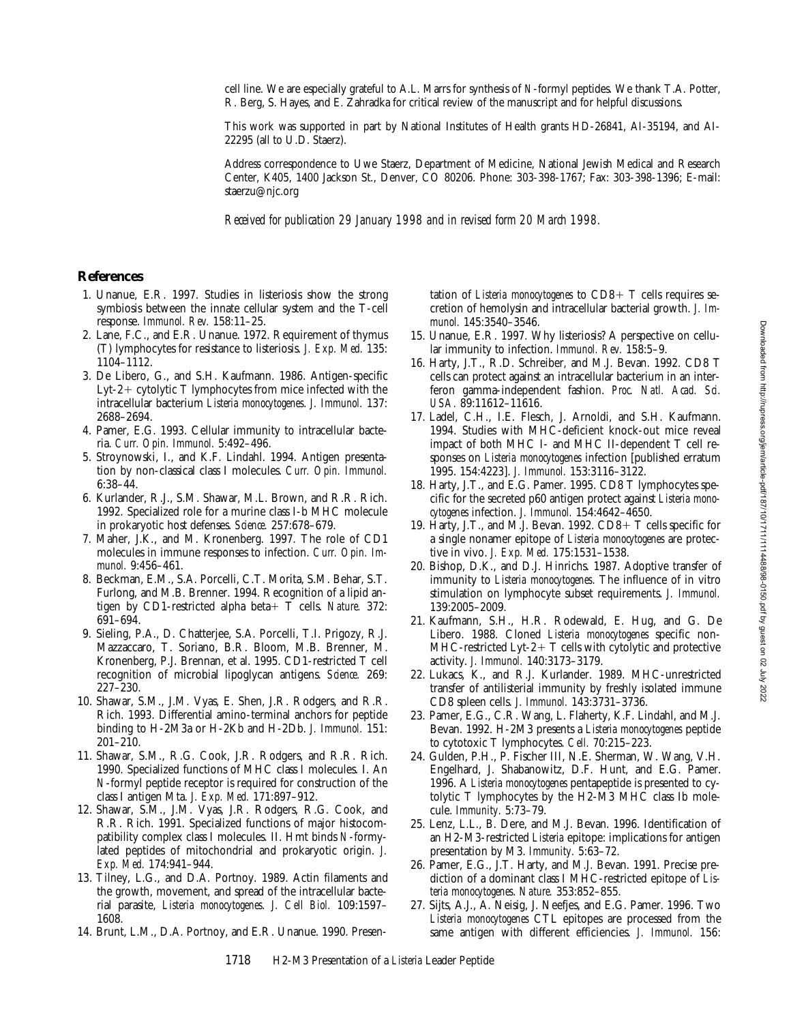cell line. We are especially grateful to A.L. Marrs for synthesis of *N*-formyl peptides. We thank T.A. Potter, R. Berg, S. Hayes, and E. Zahradka for critical review of the manuscript and for helpful discussions.

This work was supported in part by National Institutes of Health grants HD-26841, AI-35194, and AI-22295 (all to U.D. Staerz).

Address correspondence to Uwe Staerz, Department of Medicine, National Jewish Medical and Research Center, K405, 1400 Jackson St., Denver, CO 80206. Phone: 303-398-1767; Fax: 303-398-1396; E-mail: staerzu@njc.org

*Received for publication 29 January 1998 and in revised form 20 March 1998.*

#### **References**

- 1. Unanue, E.R. 1997. Studies in listeriosis show the strong symbiosis between the innate cellular system and the T-cell response. *Immunol. Rev.* 158:11–25.
- 2. Lane, F.C., and E.R. Unanue. 1972. Requirement of thymus (T) lymphocytes for resistance to listeriosis. *J. Exp. Med.* 135: 1104–1112.
- 3. De Libero, G., and S.H. Kaufmann. 1986. Antigen-specific Lyt-2+ cytolytic  $T$  lymphocytes from mice infected with the intracellular bacterium *Listeria monocytogenes*. *J. Immunol.* 137: 2688–2694.
- 4. Pamer, E.G. 1993. Cellular immunity to intracellular bacteria. *Curr. Opin. Immunol.* 5:492–496.
- 5. Stroynowski, I., and K.F. Lindahl. 1994. Antigen presentation by non-classical class I molecules. *Curr. Opin. Immunol.* 6:38–44.
- 6. Kurlander, R.J., S.M. Shawar, M.L. Brown, and R.R. Rich. 1992. Specialized role for a murine class I-b MHC molecule in prokaryotic host defenses. *Science.* 257:678–679.
- 7. Maher, J.K., and M. Kronenberg. 1997. The role of CD1 molecules in immune responses to infection. *Curr. Opin. Immunol.* 9:456–461.
- 8. Beckman, E.M., S.A. Porcelli, C.T. Morita, S.M. Behar, S.T. Furlong, and M.B. Brenner. 1994. Recognition of a lipid antigen by CD1-restricted alpha beta+ T cells. *Nature.* 372: 691–694.
- 9. Sieling, P.A., D. Chatterjee, S.A. Porcelli, T.I. Prigozy, R.J. Mazzaccaro, T. Soriano, B.R. Bloom, M.B. Brenner, M. Kronenberg, P.J. Brennan, et al. 1995. CD1-restricted T cell recognition of microbial lipoglycan antigens. *Science.* 269: 227–230.
- 10. Shawar, S.M., J.M. Vyas, E. Shen, J.R. Rodgers, and R.R. Rich. 1993. Differential amino-terminal anchors for peptide binding to H-2M3a or H-2Kb and H-2Db. *J. Immunol.* 151: 201–210.
- 11. Shawar, S.M., R.G. Cook, J.R. Rodgers, and R.R. Rich. 1990. Specialized functions of MHC class I molecules. I. An *N*-formyl peptide receptor is required for construction of the class I antigen Mta. *J. Exp. Med.* 171:897–912.
- 12. Shawar, S.M., J.M. Vyas, J.R. Rodgers, R.G. Cook, and R.R. Rich. 1991. Specialized functions of major histocompatibility complex class I molecules. II. Hmt binds *N*-formylated peptides of mitochondrial and prokaryotic origin. *J. Exp. Med.* 174:941–944.
- 13. Tilney, L.G., and D.A. Portnoy. 1989. Actin filaments and the growth, movement, and spread of the intracellular bacterial parasite, *Listeria monocytogenes*. *J. Cell Biol.* 109:1597– 1608.
- 14. Brunt, L.M., D.A. Portnoy, and E.R. Unanue. 1990. Presen-

tation of *Listeria monocytogenes* to  $CD8+T$  cells requires secretion of hemolysin and intracellular bacterial growth. *J. Immunol.* 145:3540–3546.

- 15. Unanue, E.R. 1997. Why listeriosis? A perspective on cellular immunity to infection. *Immunol. Rev.* 158:5–9.
- 16. Harty, J.T., R.D. Schreiber, and M.J. Bevan. 1992. CD8 T cells can protect against an intracellular bacterium in an interferon gamma-independent fashion. *Proc. Natl. Acad. Sci. USA.* 89:11612–11616.
- 17. Ladel, C.H., I.E. Flesch, J. Arnoldi, and S.H. Kaufmann. 1994. Studies with MHC-deficient knock-out mice reveal impact of both MHC I- and MHC II-dependent T cell responses on *Listeria monocytogenes* infection [published erratum 1995. 154:4223]. *J. Immunol.* 153:3116–3122.
- 18. Harty, J.T., and E.G. Pamer. 1995. CD8 T lymphocytes specific for the secreted p60 antigen protect against *Listeria monocytogenes* infection. *J. Immunol.* 154:4642–4650.
- 19. Harty, J.T., and M.J. Bevan. 1992.  $CD8+T$  cells specific for a single nonamer epitope of *Listeria monocytogenes* are protective in vivo. *J. Exp. Med.* 175:1531–1538.
- 20. Bishop, D.K., and D.J. Hinrichs. 1987. Adoptive transfer of immunity to *Listeria monocytogenes*. The influence of in vitro stimulation on lymphocyte subset requirements. *J. Immunol.* 139:2005–2009.
- 21. Kaufmann, S.H., H.R. Rodewald, E. Hug, and G. De Libero. 1988. Cloned *Listeria monocytogenes* specific non- $MHC$ -restricted Lyt-2+ T cells with cytolytic and protective activity. *J. Immunol.* 140:3173–3179.
- 22. Lukacs, K., and R.J. Kurlander. 1989. MHC-unrestricted transfer of antilisterial immunity by freshly isolated immune CD8 spleen cells. *J. Immunol.* 143:3731–3736.
- 23. Pamer, E.G., C.R. Wang, L. Flaherty, K.F. Lindahl, and M.J. Bevan. 1992. H-2M3 presents a *Listeria monocytogenes* peptide to cytotoxic T lymphocytes. *Cell.* 70:215–223.
- 24. Gulden, P.H., P. Fischer III, N.E. Sherman, W. Wang, V.H. Engelhard, J. Shabanowitz, D.F. Hunt, and E.G. Pamer. 1996. A *Listeria monocytogenes* pentapeptide is presented to cytolytic T lymphocytes by the H2-M3 MHC class Ib molecule. *Immunity.* 5:73–79.
- 25. Lenz, L.L., B. Dere, and M.J. Bevan. 1996. Identification of an H2-M3-restricted *Listeria* epitope: implications for antigen presentation by M3. *Immunity.* 5:63–72.
- 26. Pamer, E.G., J.T. Harty, and M.J. Bevan. 1991. Precise prediction of a dominant class I MHC-restricted epitope of *Listeria monocytogenes*. *Nature.* 353:852–855.
- 27. Sijts, A.J., A. Neisig, J. Neefjes, and E.G. Pamer. 1996. Two *Listeria monocytogenes* CTL epitopes are processed from the same antigen with different efficiencies. *J. Immunol.* 156: